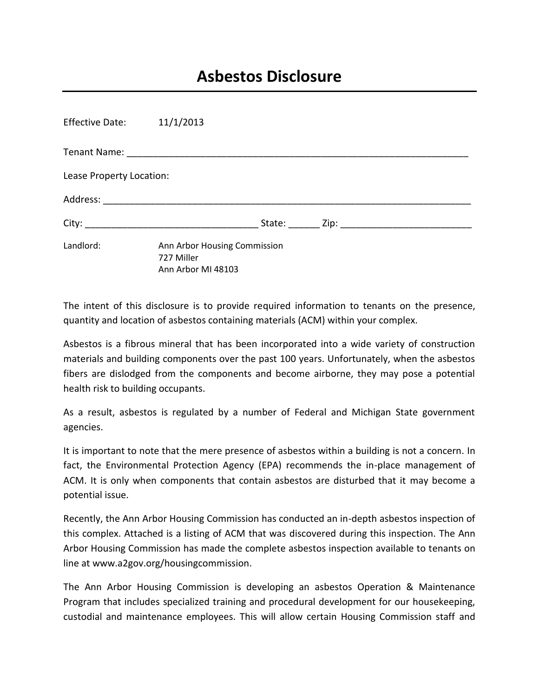## **Asbestos Disclosure**

| Effective Date: 11/1/2013 |                                                                  |  |  |
|---------------------------|------------------------------------------------------------------|--|--|
|                           |                                                                  |  |  |
| Lease Property Location:  |                                                                  |  |  |
|                           |                                                                  |  |  |
|                           |                                                                  |  |  |
| Landlord:                 | Ann Arbor Housing Commission<br>727 Miller<br>Ann Arbor MI 48103 |  |  |

The intent of this disclosure is to provide required information to tenants on the presence, quantity and location of asbestos containing materials (ACM) within your complex.

Asbestos is a fibrous mineral that has been incorporated into a wide variety of construction materials and building components over the past 100 years. Unfortunately, when the asbestos fibers are dislodged from the components and become airborne, they may pose a potential health risk to building occupants.

As a result, asbestos is regulated by a number of Federal and Michigan State government agencies.

It is important to note that the mere presence of asbestos within a building is not a concern. In fact, the Environmental Protection Agency (EPA) recommends the in-place management of ACM. It is only when components that contain asbestos are disturbed that it may become a potential issue.

Recently, the Ann Arbor Housing Commission has conducted an in-depth asbestos inspection of this complex. Attached is a listing of ACM that was discovered during this inspection. The Ann Arbor Housing Commission has made the complete asbestos inspection available to tenants on line at www.a2gov.org/housingcommission.

The Ann Arbor Housing Commission is developing an asbestos Operation & Maintenance Program that includes specialized training and procedural development for our housekeeping, custodial and maintenance employees. This will allow certain Housing Commission staff and